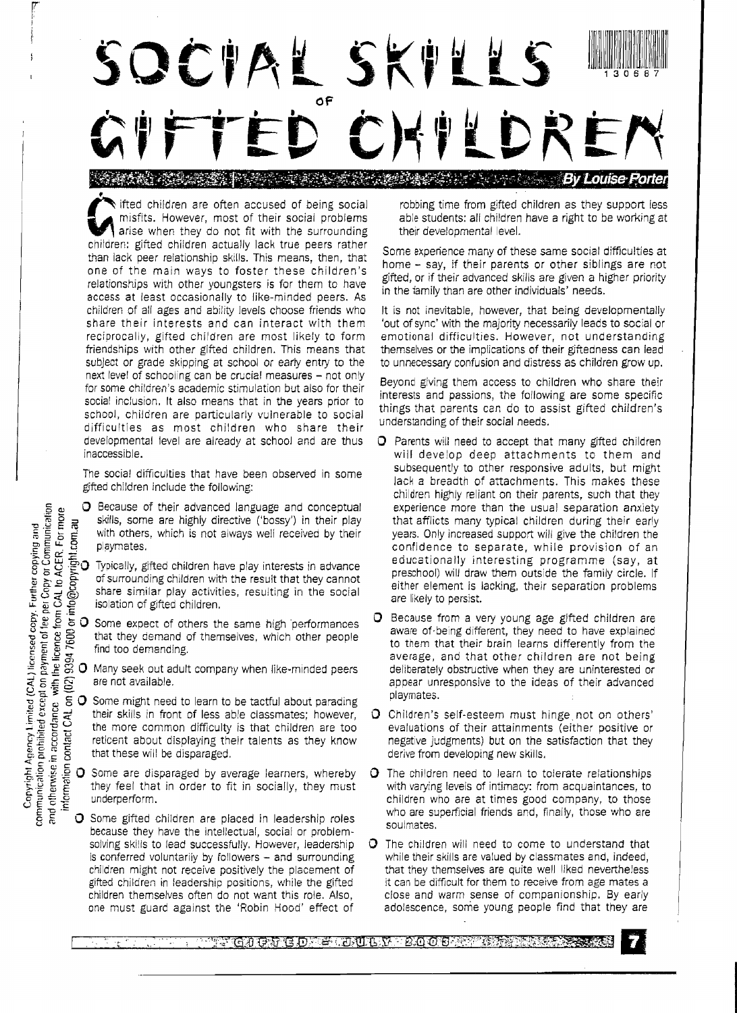SQCIAL SK !IU UI 130687 **of**  DRI " ,---'"

• ifted children are often accused of being social misfits. However, most of their social problems arise when they do not fit with the surrounding children: gifted children actually lack true peers rather than lack peer relationship skills. This means, then, that one of the main ways to foster these children's relationships with other youngsters is for them to have access at least occasionally to like-minded peers. As children of all ages and ability levels choose friends who share their interests and can interact with them reciprocally, gifted children are most likely to form friendships with other gifted children. This means that subject or grade skipping at school or early entry to the next level of schooling can be crucial measures - not only for some children's academic stimulation but also for their social inclusion. It also means that in the years prior to school, children are particularly vulnerable to social difficulties as most children who share their developmental level are already at school and are thus inaccessible.

The social difficulties that have been observed in some gifted children include the following:

- **G**  $\mu$  **O** Because of their advanced language and conceptual  $\frac{15}{6}$   $\frac{12}{15}$   $\frac{2}{15}$   $\frac{2}{15}$  skills, some are highly directive ('bossy') in their play  $\frac{12}{15}$  with others, which is not always well received by their  $\frac{1}{2}$   $\frac{1}{2}$  **playmates.**<br> $\frac{1}{2}$  *C*.  $\frac{1}{2}$
- g.:: )j ·f?'O Typically, gifted children have play interests in advance  $\frac{1}{9}$   $\geq$   $\frac{1}{9}$   $\approx$  of surrounding children with the result that they cannot  $\frac{2}{5}$   $\frac{1}{5}$   $\frac{1}{6}$  share similar play activities, resulting in the social  $\leq$  isolation of gifted children.<br> $\leq$  . E .500  $\leq$
- $\frac{1}{2}$   $\frac{1}{2}$   $\frac{1}{2}$  O Some expect of others the same high performances  $\frac{1}{6}$   $\frac{1}{6}$   $\frac{1}{6}$   $\frac{1}{6}$  that they demand of themselves, which other people
- $\begin{array}{ll}\n\text{e. } & \text{e. } & \text{f. } \\
\text{e. } & \text{f. } & \text{f. } \\
\text{f. } & \text{f. } & \text{f. } \\
\text{g. } & \text{g. } & \text{g. } \\
\text{h. } & \text{g. } & \text{g. } \\
\text{i. } & \text{g. } & \text{g. } \\
\text{f. } & \text{g. } & \text{g. } \\
\text{g. } & \text{h. } & \text{g. } \\
\text{h. } & \text{h. } & \text{h. } \\
\text{i. } & \text{h. } & \text{h. } \\
\text$
- For  $\frac{1}{2}$  contained to learn to the same interpretention of the same might need to detected by their play<br>the detected of playmates.<br>The mighty of the playmates of surrounding children have play interests in advance<br>o their skills in front of less able classmates; however, reticent about displaying their talents as they know that these will be disparaged.
	- the more common difficulty is that children are too<br>reticent about displaying their talents as they know<br>that these will be disparaged.<br> $\frac{5}{16}$  O Some are disparaged by average learners, whereby<br>they feel that in order **O** Some are disparaged by average learners, whereby they feel that in order to fit in socially, they must underperform.
		- $\bigcirc$  Some gifted children are placed in leadership roles because they have the intellectual, social or problemsolving skills to lead successfully. However, leadership is conferred voluntarily by followers  $-$  and surrounding children might not receive positively the placement of gifted children in leadership positions, while the gifted children themselves often do not want this role. Also, one must guard against the 'Robin Hood' effect of

robbing time from gifted children as they support less able students: all children have a right to be working at their developmental level.

Some experience many of these same social difficulties at home - say, if their parents or other siblings are not gifted, or if their advanced skills are given a higher priority in the iamily than are other individuals' needs.

It is not inevitable, however, that being developmentally 'out of sync' with the majority necessarily leads to social or emotional difficulties. However, not understanding themselves or the implications of their giftedness can lead to unnecessary confusion and distress as children grow up.

Beyond giving them access to children who share their interests and passions, the following are some specific things that parents can do to assist gifted children's understanding of their social needs.

- $\Omega$  Parents will need to accept that many gifted children will develop deep attachments to them and subsequently to other responsive adults, but might lack a breadth of attachments. This makes these children highly reliant on their parents, such that they experience more than the usual separation anxiety that afflicts many typical children during their early years. Only increased suppert will give the children the confidence to separate, while provision of an educationally interesting programme (say, at preschool) will draw them outside the family circle. If either element is lacking, their separation problems are likely to persist.
- O Because from a very young age gifted children are aware of being different, they need to have explained to them that their brain learns differently from the average, and that other children are not being deliberately obstructive when they are uninterested or appear unresponsive to the ideas of their advanced playmates.
- O Children's self-esteem must hinge not on others' evaluations of their attainments (either positive or negative judgments) but on the satisfaction that they derive from developing new skills.
- O The children need to learn to tolerate relationships with varying levels of intimacy: from acquaintances, to children who are at times good company, to those who are superficial friends and, finally, those who are soulmates.
- $\Omega$  The children will need to come to understand that while their skills are valued by classmates and, indeed, that they themselves are quite well liked nevertheless it can be difficult for them to receive from age mates a close and warm sense of companionship. By early adolescence, some young people find that they are

**ALGUERGD & DULR 2008 RECE** 



communication prohibited except on payment of fee per Copy or Communication

I r